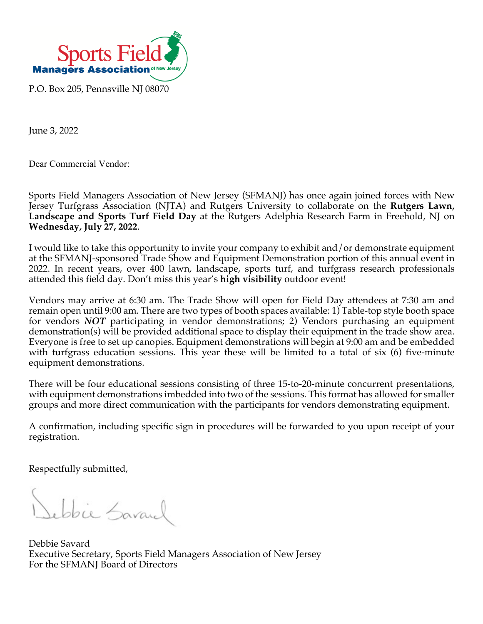

June 3, 2022

Dear Commercial Vendor:

Sports Field Managers Association of New Jersey (SFMANJ) has once again joined forces with New Jersey Turfgrass Association (NJTA) and Rutgers University to collaborate on the **Rutgers Lawn, Landscape and Sports Turf Field Day** at the Rutgers Adelphia Research Farm in Freehold, NJ on **Wednesday, July 27, 2022**.

I would like to take this opportunity to invite your company to exhibit and/or demonstrate equipment at the SFMANJ-sponsored Trade Show and Equipment Demonstration portion of this annual event in 2022. In recent years, over 400 lawn, landscape, sports turf, and turfgrass research professionals attended this field day. Don't miss this year's **high visibility** outdoor event!

Vendors may arrive at 6:30 am. The Trade Show will open for Field Day attendees at 7:30 am and remain open until 9:00 am. There are two types of booth spaces available: 1) Table-top style booth space for vendors *NOT* participating in vendor demonstrations; 2) Vendors purchasing an equipment demonstration(s) will be provided additional space to display their equipment in the trade show area. Everyone is free to set up canopies. Equipment demonstrations will begin at 9:00 am and be embedded with turfgrass education sessions. This year these will be limited to a total of six (6) five-minute equipment demonstrations.

There will be four educational sessions consisting of three 15-to-20-minute concurrent presentations, with equipment demonstrations imbedded into two of the sessions. This format has allowed for smaller groups and more direct communication with the participants for vendors demonstrating equipment.

A confirmation, including specific sign in procedures will be forwarded to you upon receipt of your registration.

Respectfully submitted,

Sebbie Savanel

Debbie Savard Executive Secretary, Sports Field Managers Association of New Jersey For the SFMANJ Board of Directors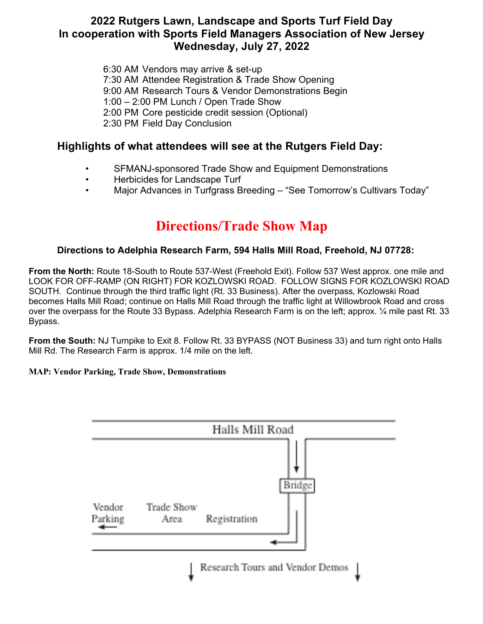## **2022 Rutgers Lawn, Landscape and Sports Turf Field Day In cooperation with Sports Field Managers Association of New Jersey Wednesday, July 27, 2022**

6:30 AM Vendors may arrive & set-up 7:30 AM Attendee Registration & Trade Show Opening 9:00 AM Research Tours & Vendor Demonstrations Begin 1:00 – 2:00 PM Lunch / Open Trade Show **2:00 PM Core pesticide credit session (Optional)** 2:30 PM Field Day Conclusion **In cooperation with Sports Field Managers Association of New Jersey Wednesday, July 31, 2019**

# Highlights of what attendees will see at the Rutgers Field Day:

- SFMANJ-sponsored Trade Show and Equipment Demonstrations
- Herbicides for Landscape Turf
- Major Advances in Turfgrass Breeding "See Tomorrow's Cultivars Today" 2) PM Field Day Concellul in the Concellul of the Concellul of the Concellul of the Concellul of the Concellul o

# **Directions/Trade Show Map Highlights of what attendees will see at the Rutgers Field Day:**

#### Directions to Adelphia Research Farm, 594 Halls Mill Road, Freehold, NJ 07728: Adelphia Research Farm, 594 Halls Mill Road, Freehold, NJ 07728

**From the North:** Route 18-South to Route 537-West (Freehold Exit). Follow 537 West approx. one mile and LOOK FOR OFF-RAMP (ON RIGHT) FOR KOZLOWSKI ROAD. FOLLOW SIGNS FOR KOZLOWSKI ROAD SOUTH. Continue through the third traffic light (Rt. 33 Business). After the overpass, Kozlowski Road becomes Halls Mill Road; continue on Halls Mill Road through the traffic light at Willowbrook Road and cross over the overpass for the Route 33 Bypass. Adelphia Research Farm is on the left; approx. 1⁄4 mile past Rt. 33 Bypass.  $S.$ 

From the South: NJ Turnpike to Exit 8. Follow Rt. 33 BYPASS (NOT Business 33) and turn right onto Halls Mill Rd. The Research Farm is approx. 1/4 mile on the left.  $\ddot{\phantom{0}}$ 

## **MAP: Vendor Parking, Trade Show, Demonstrations**

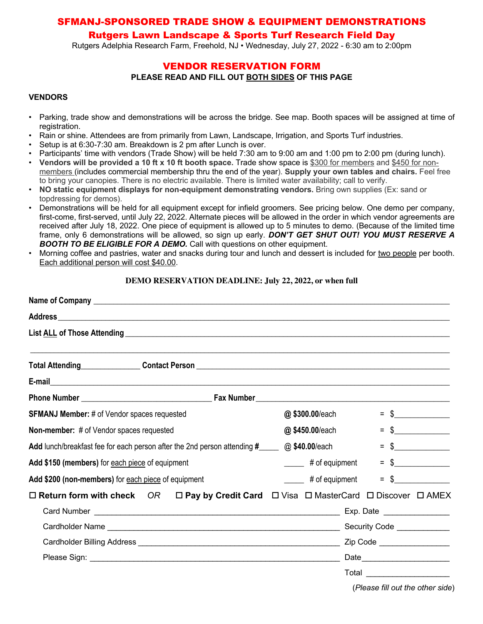## SFMANJ-SPONSORED TRADE SHOW & EQUIPMENT DEMONSTRATIONS

## Rutgers Lawn Landscape & Sports Turf Research Field Day

Rutgers Adelphia Research Farm, Freehold, NJ • Wednesday, July 27, 2022 - 6:30 am to 2:00pm

## VENDOR RESERVATION FORM **PLEASE READ AND FILL OUT BOTH SIDES OF THIS PAGE**

#### **VENDORS**

- Parking, trade show and demonstrations will be across the bridge. See map. Booth spaces will be assigned at time of registration.
- Rain or shine. Attendees are from primarily from Lawn, Landscape, Irrigation, and Sports Turf industries.
- Setup is at 6:30-7:30 am. Breakdown is 2 pm after Lunch is over.
- Participants' time with vendors (Trade Show) will be held 7:30 am to 9:00 am and 1:00 pm to 2:00 pm (during lunch).
- **Vendors will be provided a 10 ft x 10 ft booth space.** Trade show space is \$300 for members and \$450 for nonmembers (includes commercial membership thru the end of the year). **Supply your own tables and chairs.** Feel free to bring your canopies. There is no electric available. There is limited water availability; call to verify.
- **NO static equipment displays for non-equipment demonstrating vendors.** Bring own supplies (Ex: sand or topdressing for demos).
- Demonstrations will be held for all equipment except for infield groomers. See pricing below. One demo per company, first-come, first-served, until July 22, 2022. Alternate pieces will be allowed in the order in which vendor agreements are received after July 18, 2022. One piece of equipment is allowed up to 5 minutes to demo. (Because of the limited time frame, only 6 demonstrations will be allowed, so sign up early. *DON'T GET SHUT OUT! YOU MUST RESERVE A BOOTH TO BE ELIGIBLE FOR A DEMO.* Call with questions on other equipment.
- Morning coffee and pastries, water and snacks during tour and lunch and dessert is included for two people per booth. Each additional person will cost \$40.00.

#### **DEMO RESERVATION DEADLINE: July 22, 2022, or when full**

| @\$300.00/each                                                                                                       | $=$ \$                          |
|----------------------------------------------------------------------------------------------------------------------|---------------------------------|
| @\$450.00/each                                                                                                       | $\frac{1}{2}$<br>$=$            |
| @ \$40.00/each<br>Add lunch/breakfast fee for each person after the 2nd person attending #                           | $\frac{1}{2}$<br>$\equiv$       |
| ______ # of equipment                                                                                                | $\frac{1}{2}$<br>$=$            |
| _____ # of equipment                                                                                                 | \$<br>$=$                       |
| $\Box$ Return form with check OR $\Box$ Pay by Credit Card $\Box$ Visa $\Box$ MasterCard $\Box$ Discover $\Box$ AMEX |                                 |
| Exp. Date __________________                                                                                         |                                 |
|                                                                                                                      |                                 |
|                                                                                                                      |                                 |
|                                                                                                                      | Date___________________________ |
|                                                                                                                      | Total _______________________   |
|                                                                                                                      |                                 |

(*Please fill out the other side*)